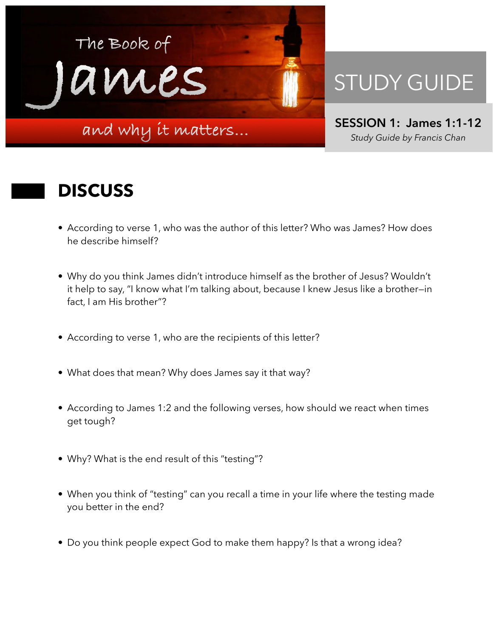

## STUDY GUIDE

**SESSION 1: James 1:1-12**  *Study Guide by Francis Chan*

## **DISCUSS**

- According to verse 1, who was the author of this letter? Who was James? How does he describe himself?
- Why do you think James didn't introduce himself as the brother of Jesus? Wouldn't it help to say, "I know what I'm talking about, because I knew Jesus like a brother—in fact, I am His brother"?
- According to verse 1, who are the recipients of this letter?
- What does that mean? Why does James say it that way?
- According to James 1:2 and the following verses, how should we react when times get tough?
- Why? What is the end result of this "testing"?
- When you think of "testing" can you recall a time in your life where the testing made you better in the end?
- Do you think people expect God to make them happy? Is that a wrong idea?